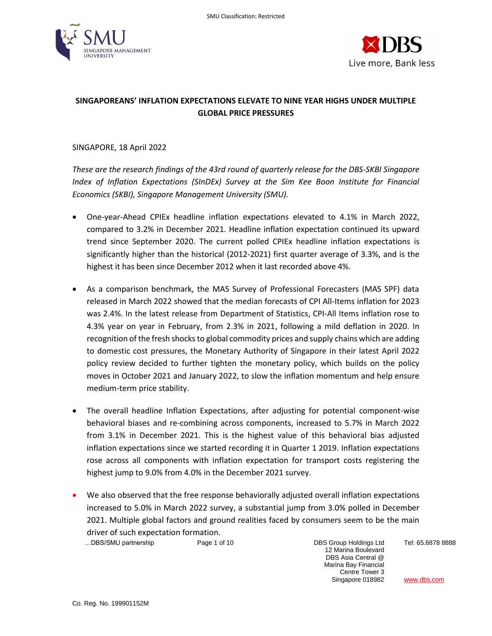



# **SINGAPOREANS' INFLATION EXPECTATIONS ELEVATE TO NINE YEAR HIGHS UNDER MULTIPLE GLOBAL PRICE PRESSURES**

## SINGAPORE, 18 April 2022

*These are the research findings of the 43rd round of quarterly release for the DBS-SKBI Singapore Index of Inflation Expectations (SInDEx) Survey at the Sim Kee Boon Institute for Financial Economics (SKBI), Singapore Management University (SMU).*

- One-year-Ahead CPIEx headline inflation expectations elevated to 4.1% in March 2022, compared to 3.2% in December 2021. Headline inflation expectation continued its upward trend since September 2020. The current polled CPIEx headline inflation expectations is significantly higher than the historical (2012-2021) first quarter average of 3.3%, and is the highest it has been since December 2012 when it last recorded above 4%.
- As a comparison benchmark, the MAS Survey of Professional Forecasters (MAS SPF) data released in March 2022 showed that the median forecasts of CPI All-Items inflation for 2023 was 2.4%. In the latest release from Department of Statistics, CPI-All Items inflation rose to 4.3% year on year in February, from 2.3% in 2021, following a mild deflation in 2020. In recognition of the fresh shocks to global commodity prices and supply chains which are adding to domestic cost pressures, the Monetary Authority of Singapore in their latest April 2022 policy review decided to further tighten the monetary policy, which builds on the policy moves in October 2021 and January 2022, to slow the inflation momentum and help ensure medium-term price stability.
- The overall headline Inflation Expectations, after adjusting for potential component-wise behavioral biases and re-combining across components, increased to 5.7% in March 2022 from 3.1% in December 2021. This is the highest value of this behavioral bias adjusted inflation expectations since we started recording it in Quarter 1 2019. Inflation expectations rose across all components with inflation expectation for transport costs registering the highest jump to 9.0% from 4.0% in the December 2021 survey.
- We also observed that the free response behaviorally adjusted overall inflation expectations increased to 5.0% in March 2022 survey, a substantial jump from 3.0% polled in December 2021. Multiple global factors and ground realities faced by consumers seem to be the main driver of such expectation formation.

…DBS/SMU partnership Page 1 of 10 DBS Group Holdings Ltd

12 Marina Boulevard DBS Asia Central @ Marina Bay Financial Centre Tower 3 Singapore 018982 Tel: 65.6878 8888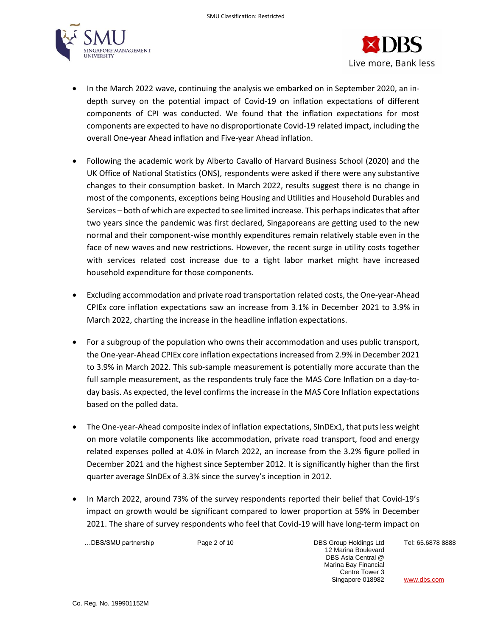



- In the March 2022 wave, continuing the analysis we embarked on in September 2020, an indepth survey on the potential impact of Covid-19 on inflation expectations of different components of CPI was conducted. We found that the inflation expectations for most components are expected to have no disproportionate Covid-19 related impact, including the overall One-year Ahead inflation and Five-year Ahead inflation.
- Following the academic work by Alberto Cavallo of Harvard Business School (2020) and the UK Office of National Statistics (ONS), respondents were asked if there were any substantive changes to their consumption basket. In March 2022, results suggest there is no change in most of the components, exceptions being Housing and Utilities and Household Durables and Services – both of which are expected to see limited increase. This perhaps indicates that after two years since the pandemic was first declared, Singaporeans are getting used to the new normal and their component-wise monthly expenditures remain relatively stable even in the face of new waves and new restrictions. However, the recent surge in utility costs together with services related cost increase due to a tight labor market might have increased household expenditure for those components.
- Excluding accommodation and private road transportation related costs, the One-year-Ahead CPIEx core inflation expectations saw an increase from 3.1% in December 2021 to 3.9% in March 2022, charting the increase in the headline inflation expectations.
- For a subgroup of the population who owns their accommodation and uses public transport, the One-year-Ahead CPIEx core inflation expectations increased from 2.9% in December 2021 to 3.9% in March 2022. This sub-sample measurement is potentially more accurate than the full sample measurement, as the respondents truly face the MAS Core Inflation on a day-today basis. As expected, the level confirms the increase in the MAS Core Inflation expectations based on the polled data.
- The One-year-Ahead composite index of inflation expectations, SInDEx1, that puts less weight on more volatile components like accommodation, private road transport, food and energy related expenses polled at 4.0% in March 2022, an increase from the 3.2% figure polled in December 2021 and the highest since September 2012. It is significantly higher than the first quarter average SInDEx of 3.3% since the survey's inception in 2012.
- In March 2022, around 73% of the survey respondents reported their belief that Covid-19's impact on growth would be significant compared to lower proportion at 59% in December 2021. The share of survey respondents who feel that Covid-19 will have long-term impact on

…DBS/SMU partnership Page 2 of 10 DBS Group Holdings Ltd

12 Marina Boulevard DBS Asia Central @ Marina Bay Financial Centre Tower 3 Singapore 018982 Tel: 65.6878 8888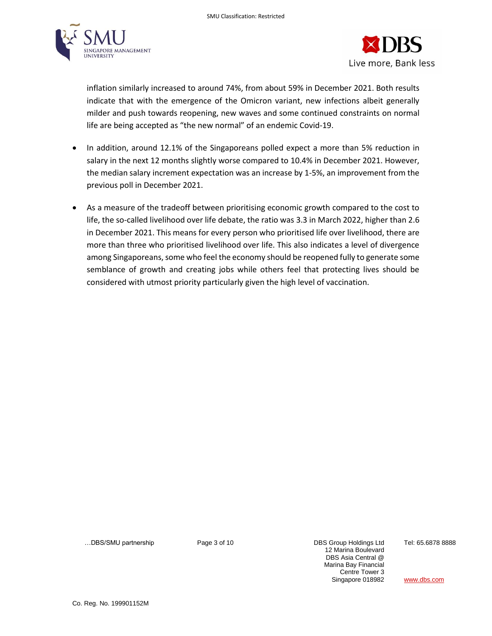



inflation similarly increased to around 74%, from about 59% in December 2021. Both results indicate that with the emergence of the Omicron variant, new infections albeit generally milder and push towards reopening, new waves and some continued constraints on normal life are being accepted as "the new normal" of an endemic Covid-19.

- In addition, around 12.1% of the Singaporeans polled expect a more than 5% reduction in salary in the next 12 months slightly worse compared to 10.4% in December 2021. However, the median salary increment expectation was an increase by 1-5%, an improvement from the previous poll in December 2021.
- As a measure of the tradeoff between prioritising economic growth compared to the cost to life, the so-called livelihood over life debate, the ratio was 3.3 in March 2022, higher than 2.6 in December 2021. This means for every person who prioritised life over livelihood, there are more than three who prioritised livelihood over life. This also indicates a level of divergence among Singaporeans, some who feel the economy should be reopened fully to generate some semblance of growth and creating jobs while others feel that protecting lives should be considered with utmost priority particularly given the high level of vaccination.

…DBS/SMU partnership Page 3 of 10 DBS Group Holdings Ltd

12 Marina Boulevard DBS Asia Central @ Marina Bay Financial Centre Tower 3 Singapore 018982 Tel: 65.6878 8888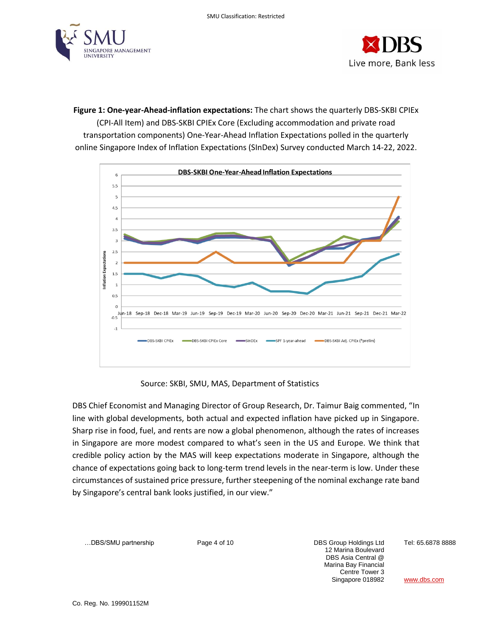



**Figure 1: One-year-Ahead-inflation expectations:** The chart shows the quarterly DBS-SKBI CPIEx (CPI-All Item) and DBS-SKBI CPIEx Core (Excluding accommodation and private road transportation components) One-Year-Ahead Inflation Expectations polled in the quarterly online Singapore Index of Inflation Expectations (SInDex) Survey conducted March 14-22, 2022.



Source: SKBI, SMU, MAS, Department of Statistics

DBS Chief Economist and Managing Director of Group Research, Dr. Taimur Baig commented, "In line with global developments, both actual and expected inflation have picked up in Singapore. Sharp rise in food, fuel, and rents are now a global phenomenon, although the rates of increases in Singapore are more modest compared to what's seen in the US and Europe. We think that credible policy action by the MAS will keep expectations moderate in Singapore, although the chance of expectations going back to long-term trend levels in the near-term is low. Under these circumstances of sustained price pressure, further steepening of the nominal exchange rate band by Singapore's central bank looks justified, in our view."

…DBS/SMU partnership Page 4 of 10 DBS Group Holdings Ltd

12 Marina Boulevard DBS Asia Central @ Marina Bay Financial Centre Tower 3 Singapore 018982 Tel: 65.6878 8888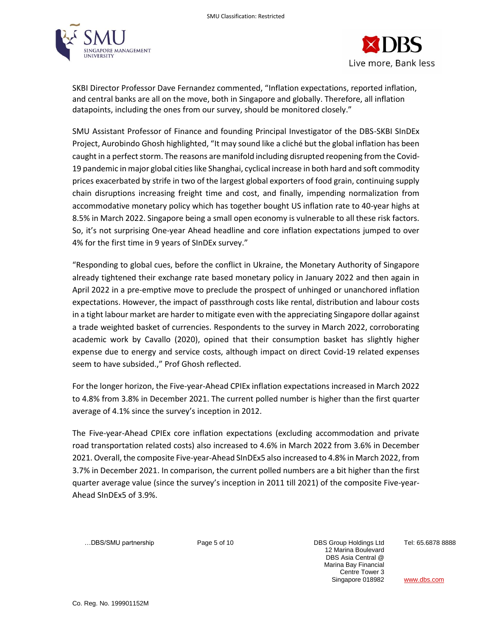



SKBI Director Professor Dave Fernandez commented, "Inflation expectations, reported inflation, and central banks are all on the move, both in Singapore and globally. Therefore, all inflation datapoints, including the ones from our survey, should be monitored closely."

SMU Assistant Professor of Finance and founding Principal Investigator of the DBS-SKBI SInDEx Project, Aurobindo Ghosh highlighted, "It may sound like a cliché but the global inflation has been caught in a perfect storm. The reasons are manifold including disrupted reopening from the Covid-19 pandemic in major global cities like Shanghai, cyclical increase in both hard and soft commodity prices exacerbated by strife in two of the largest global exporters of food grain, continuing supply chain disruptions increasing freight time and cost, and finally, impending normalization from accommodative monetary policy which has together bought US inflation rate to 40-year highs at 8.5% in March 2022. Singapore being a small open economy is vulnerable to all these risk factors. So, it's not surprising One-year Ahead headline and core inflation expectations jumped to over 4% for the first time in 9 years of SInDEx survey."

"Responding to global cues, before the conflict in Ukraine, the Monetary Authority of Singapore already tightened their exchange rate based monetary policy in January 2022 and then again in April 2022 in a pre-emptive move to preclude the prospect of unhinged or unanchored inflation expectations. However, the impact of passthrough costs like rental, distribution and labour costs in a tight labour market are harder to mitigate even with the appreciating Singapore dollar against a trade weighted basket of currencies. Respondents to the survey in March 2022, corroborating academic work by Cavallo (2020), opined that their consumption basket has slightly higher expense due to energy and service costs, although impact on direct Covid-19 related expenses seem to have subsided.," Prof Ghosh reflected.

For the longer horizon, the Five-year-Ahead CPIEx inflation expectations increased in March 2022 to 4.8% from 3.8% in December 2021. The current polled number is higher than the first quarter average of 4.1% since the survey's inception in 2012.

The Five-year-Ahead CPIEx core inflation expectations (excluding accommodation and private road transportation related costs) also increased to 4.6% in March 2022 from 3.6% in December 2021. Overall, the composite Five-year-Ahead SInDEx5 also increased to 4.8% in March 2022, from 3.7% in December 2021. In comparison, the current polled numbers are a bit higher than the first quarter average value (since the survey's inception in 2011 till 2021) of the composite Five-year-Ahead SInDEx5 of 3.9%.

…DBS/SMU partnership Page 5 of 10 DBS Group Holdings Ltd

12 Marina Boulevard DBS Asia Central @ Marina Bay Financial Centre Tower 3 Singapore 018982 Tel: 65.6878 8888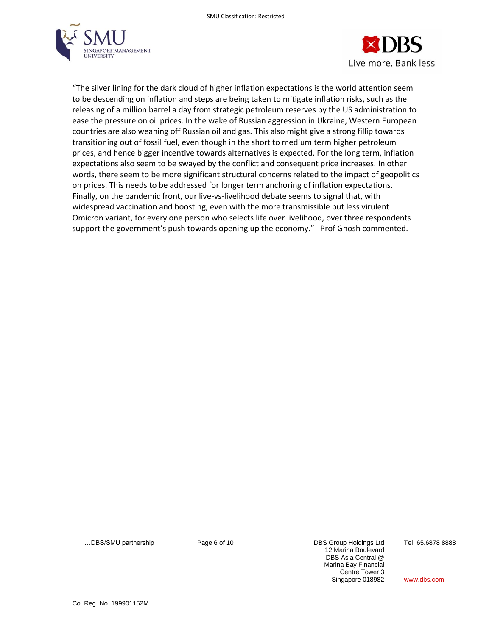



"The silver lining for the dark cloud of higher inflation expectations is the world attention seem to be descending on inflation and steps are being taken to mitigate inflation risks, such as the releasing of a million barrel a day from strategic petroleum reserves by the US administration to ease the pressure on oil prices. In the wake of Russian aggression in Ukraine, Western European countries are also weaning off Russian oil and gas. This also might give a strong fillip towards transitioning out of fossil fuel, even though in the short to medium term higher petroleum prices, and hence bigger incentive towards alternatives is expected. For the long term, inflation expectations also seem to be swayed by the conflict and consequent price increases. In other words, there seem to be more significant structural concerns related to the impact of geopolitics on prices. This needs to be addressed for longer term anchoring of inflation expectations. Finally, on the pandemic front, our live-vs-livelihood debate seems to signal that, with widespread vaccination and boosting, even with the more transmissible but less virulent Omicron variant, for every one person who selects life over livelihood, over three respondents support the government's push towards opening up the economy." Prof Ghosh commented.

…DBS/SMU partnership Page 6 of 10 DBS Group Holdings Ltd

12 Marina Boulevard DBS Asia Central @ Marina Bay Financial Centre Tower 3 Singapore 018982 Tel: 65.6878 8888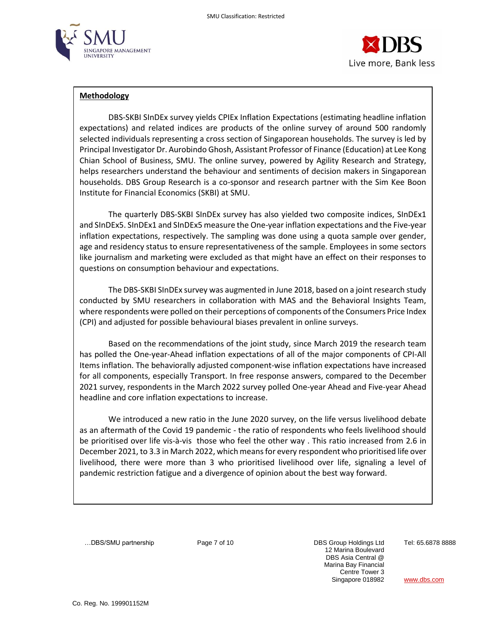



#### **Methodology**

DBS-SKBI SInDEx survey yields CPIEx Inflation Expectations (estimating headline inflation expectations) and related indices are products of the online survey of around 500 randomly selected individuals representing a cross section of Singaporean households. The survey is led by Principal Investigator Dr. Aurobindo Ghosh, Assistant Professor of Finance (Education) at Lee Kong Chian School of Business, SMU. The online survey, powered by Agility Research and Strategy, helps researchers understand the behaviour and sentiments of decision makers in Singaporean households. DBS Group Research is a co-sponsor and research partner with the Sim Kee Boon Institute for Financial Economics (SKBI) at SMU.

The quarterly DBS-SKBI SInDEx survey has also yielded two composite indices, SInDEx1 and SInDEx5. SInDEx1 and SInDEx5 measure the One-year inflation expectations and the Five-year inflation expectations, respectively. The sampling was done using a quota sample over gender, age and residency status to ensure representativeness of the sample. Employees in some sectors like journalism and marketing were excluded as that might have an effect on their responses to questions on consumption behaviour and expectations.

The DBS-SKBI SInDEx survey was augmented in June 2018, based on a joint research study conducted by SMU researchers in collaboration with MAS and the Behavioral Insights Team, where respondents were polled on their perceptions of components of the Consumers Price Index (CPI) and adjusted for possible behavioural biases prevalent in online surveys.

Based on the recommendations of the joint study, since March 2019 the research team has polled the One-year-Ahead inflation expectations of all of the major components of CPI-All Items inflation. The behaviorally adjusted component-wise inflation expectations have increased for all components, especially Transport. In free response answers, compared to the December 2021 survey, respondents in the March 2022 survey polled One-year Ahead and Five-year Ahead headline and core inflation expectations to increase.

We introduced a new ratio in the June 2020 survey, on the life versus livelihood debate as an aftermath of the Covid 19 pandemic - the ratio of respondents who feels livelihood should be prioritised over life vis-à-vis those who feel the other way . This ratio increased from 2.6 in December 2021, to 3.3 in March 2022, which means for every respondent who prioritised life over livelihood, there were more than 3 who prioritised livelihood over life, signaling a level of pandemic restriction fatigue and a divergence of opinion about the best way forward.

...DBS/SMU partnership **Page 7 of 10** DBS Group Holdings Ltd

12 Marina Boulevard DBS Asia Central @ Marina Bay Financial Centre Tower 3 Singapore 018982 Tel: 65.6878 8888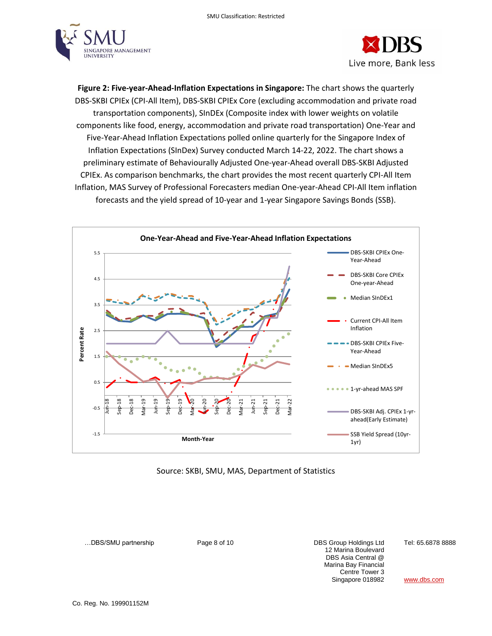



**Figure 2: Five-year-Ahead-Inflation Expectations in Singapore:** The chart shows the quarterly DBS-SKBI CPIEx (CPI-All Item), DBS-SKBI CPIEx Core (excluding accommodation and private road transportation components), SInDEx (Composite index with lower weights on volatile components like food, energy, accommodation and private road transportation) One-Year and Five-Year-Ahead Inflation Expectations polled online quarterly for the Singapore Index of Inflation Expectations (SInDex) Survey conducted March 14-22, 2022. The chart shows a preliminary estimate of Behaviourally Adjusted One-year-Ahead overall DBS-SKBI Adjusted CPIEx. As comparison benchmarks, the chart provides the most recent quarterly CPI-All Item Inflation, MAS Survey of Professional Forecasters median One-year-Ahead CPI-All Item inflation forecasts and the yield spread of 10-year and 1-year Singapore Savings Bonds (SSB).





…DBS/SMU partnership Page 8 of 10 DBS Group Holdings Ltd 12 Marina Boulevard DBS Asia Central @ Marina Bay Financial Centre Tower 3 Singapore 018982 Tel: 65.6878 8888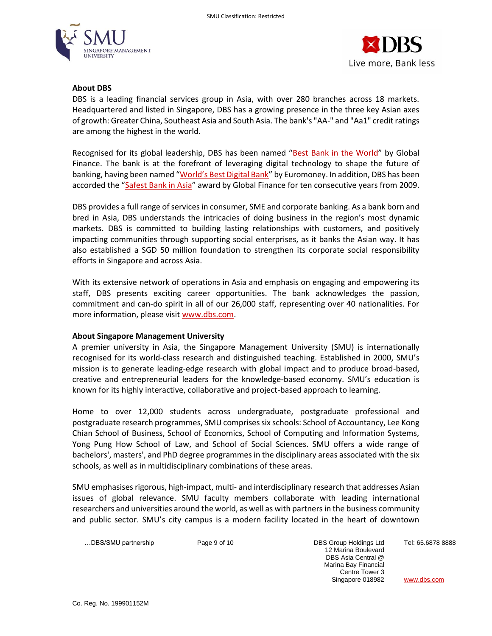



## **About DBS**

DBS is a leading financial services group in Asia, with over 280 branches across 18 markets. Headquartered and listed in Singapore, DBS has a growing presence in the three key Asian axes of growth: Greater China, Southeast Asia and South Asia. The bank's "AA-" and "Aa1" credit ratings are among the highest in the world.

Recognised for its global leadership, DBS has been named "[Best Bank in the World](https://www.dbs.com/newsroom/DBS_named_Best_Bank_in_the_World)" by Global Finance. The bank is at the forefront of leveraging digital technology to shape the future of banking, having been named ["World's Best Digital Bank"](https://www.dbs.com/newsroom/DBS_named_worlds_best_digital_bank) by Euromoney. In addition, DBS has been accorded the "[Safest Bank in Asia](https://www.dbs.com/newsroom/DBS_named_Asias_Safest_Bank_for_10th_consecutive_year)" award by Global Finance for ten consecutive years from 2009.

DBS provides a full range of services in consumer, SME and corporate banking. As a bank born and bred in Asia, DBS understands the intricacies of doing business in the region's most dynamic markets. DBS is committed to building lasting relationships with customers, and positively impacting communities through supporting social enterprises, as it banks the Asian way. It has also established a SGD 50 million foundation to strengthen its corporate social responsibility efforts in Singapore and across Asia.

With its extensive network of operations in Asia and emphasis on engaging and empowering its staff, DBS presents exciting career opportunities. The bank acknowledges the passion, commitment and can-do spirit in all of our 26,000 staff, representing over 40 nationalities. For more information, please visi[t www.dbs.com.](http://www.dbs.com/)

## **About Singapore Management University**

A premier university in Asia, the Singapore Management University (SMU) is internationally recognised for its world-class research and distinguished teaching. Established in 2000, SMU's mission is to generate leading-edge research with global impact and to produce broad-based, creative and entrepreneurial leaders for the knowledge-based economy. SMU's education is known for its highly interactive, collaborative and project-based approach to learning.

Home to over 12,000 students across undergraduate, postgraduate professional and postgraduate research programmes, SMU comprises six schools: School of Accountancy, Lee Kong Chian School of Business, School of Economics, School of Computing and Information Systems, Yong Pung How School of Law, and School of Social Sciences. SMU offers a wide range of bachelors', masters', and PhD degree programmes in the disciplinary areas associated with the six schools, as well as in multidisciplinary combinations of these areas.

SMU emphasises rigorous, high-impact, multi- and interdisciplinary research that addresses Asian issues of global relevance. SMU faculty members collaborate with leading international researchers and universities around the world, as well as with partners in the business community and public sector. SMU's city campus is a modern facility located in the heart of downtown

…DBS/SMU partnership Page 9 of 10 DBS Group Holdings Ltd

12 Marina Boulevard DBS Asia Central @ Marina Bay Financial Centre Tower 3 Singapore 018982 Tel: 65.6878 8888